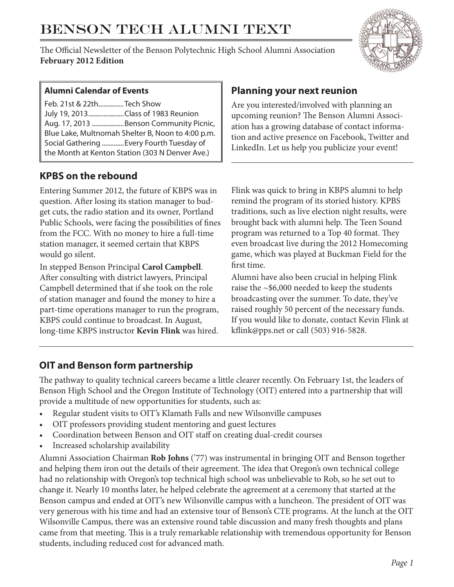# BENSON TECH ALUMNI TEXT

The Official Newsletter of the Benson Polytechnic High School Alumni Association **February 2012 Edition**



### **Alumni Calendar of Events**

Feb. 21st & 22th...............Tech Show July 19, 2013.....................Class of 1983 Reunion Aug. 17, 2013 ...................Benson Community Picnic, Blue Lake, Multnomah Shelter B, Noon to 4:00 p.m. Social Gathering .............Every Fourth Tuesday of the Month at Kenton Station (303 N Denver Ave.)

## **KPBS on the rebound**

Entering Summer 2012, the future of KBPS was in question. After losing its station manager to budget cuts, the radio station and its owner, Portland Public Schools, were facing the possibilities of fines from the FCC. With no money to hire a full-time station manager, it seemed certain that KBPS would go silent.

In stepped Benson Principal **Carol Campbell**. After consulting with district lawyers, Principal Campbell determined that if she took on the role of station manager and found the money to hire a part-time operations manager to run the program, KBPS could continue to broadcast. In August, long-time KBPS instructor **Kevin Flink** was hired.

## **Planning your next reunion**

Are you interested/involved with planning an upcoming reunion? The Benson Alumni Association has a growing database of contact information and active presence on Facebook, Twitter and LinkedIn. Let us help you publicize your event!

Flink was quick to bring in KBPS alumni to help remind the program of its storied history. KPBS traditions, such as live election night results, were brought back with alumni help. The Teen Sound program was returned to a Top 40 format. They even broadcast live during the 2012 Homecoming game, which was played at Buckman Field for the first time.

Alumni have also been crucial in helping Flink raise the ~\$6,000 needed to keep the students broadcasting over the summer. To date, they've raised roughly 50 percent of the necessary funds. If you would like to donate, contact Kevin Flink at kflink@pps.net or call (503) 916-5828.

# **OIT and Benson form partnership**

The pathway to quality technical careers became a little clearer recently. On February 1st, the leaders of Benson High School and the Oregon Institute of Technology (OIT) entered into a partnership that will provide a multitude of new opportunities for students, such as:

- Regular student visits to OIT's Klamath Falls and new Wilsonville campuses
- OIT professors providing student mentoring and guest lectures
- Coordination between Benson and OIT staff on creating dual-credit courses
- Increased scholarship availability

Alumni Association Chairman **Rob Johns** ('77) was instrumental in bringing OIT and Benson together and helping them iron out the details of their agreement. The idea that Oregon's own technical college had no relationship with Oregon's top technical high school was unbelievable to Rob, so he set out to change it. Nearly 10 months later, he helped celebrate the agreement at a ceremony that started at the Benson campus and ended at OIT's new Wilsonville campus with a luncheon. The president of OIT was very generous with his time and had an extensive tour of Benson's CTE programs. At the lunch at the OIT Wilsonville Campus, there was an extensive round table discussion and many fresh thoughts and plans came from that meeting. This is a truly remarkable relationship with tremendous opportunity for Benson students, including reduced cost for advanced math.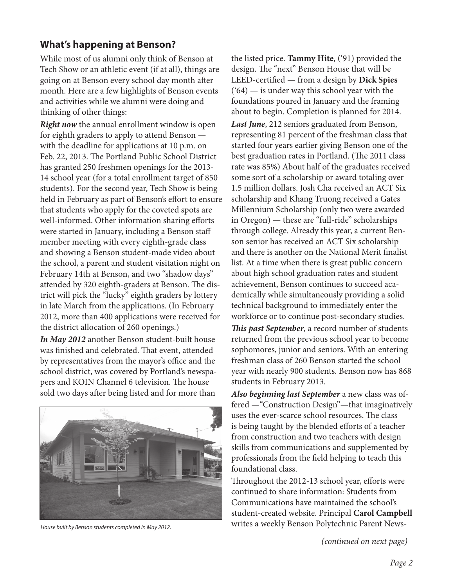# **What's happening at Benson?**

While most of us alumni only think of Benson at Tech Show or an athletic event (if at all), things are going on at Benson every school day month after month. Here are a few highlights of Benson events and activities while we alumni were doing and thinking of other things:

*Right now* the annual enrollment window is open for eighth graders to apply to attend Benson with the deadline for applications at 10 p.m. on Feb. 22, 2013. The Portland Public School District has granted 250 freshmen openings for the 2013- 14 school year (for a total enrollment target of 850 students). For the second year, Tech Show is being held in February as part of Benson's effort to ensure that students who apply for the coveted spots are well-informed. Other information sharing efforts were started in January, including a Benson staff member meeting with every eighth-grade class and showing a Benson student-made video about the school, a parent and student visitation night on February 14th at Benson, and two "shadow days" attended by 320 eighth-graders at Benson. The district will pick the "lucky" eighth graders by lottery in late March from the applications. (In February 2012, more than 400 applications were received for the district allocation of 260 openings.)

*In May 2012* another Benson student-built house was finished and celebrated. That event, attended by representatives from the mayor's office and the school district, was covered by Portland's newspapers and KOIN Channel 6 television. The house sold two days after being listed and for more than



*House built by Benson students completed in May 2012.*

the listed price. **Tammy Hite**, ('91) provided the design. The "next" Benson House that will be LEED-certified — from a design by **Dick Spies**  $(64)$  — is under way this school year with the foundations poured in January and the framing about to begin. Completion is planned for 2014. *Last June*, 212 seniors graduated from Benson, representing 81 percent of the freshman class that started four years earlier giving Benson one of the best graduation rates in Portland. (The 2011 class rate was 85%) About half of the graduates received some sort of a scholarship or award totaling over 1.5 million dollars. Josh Cha received an ACT Six scholarship and Khang Truong received a Gates Millennium Scholarship (only two were awarded in Oregon) — these are "full-ride" scholarships through college. Already this year, a current Benson senior has received an ACT Six scholarship and there is another on the National Merit finalist list. At a time when there is great public concern about high school graduation rates and student achievement, Benson continues to succeed academically while simultaneously providing a solid technical background to immediately enter the workforce or to continue post-secondary studies.

*This past September*, a record number of students returned from the previous school year to become sophomores, junior and seniors. With an entering freshman class of 260 Benson started the school year with nearly 900 students. Benson now has 868 students in February 2013.

*Also beginning last September* a new class was offered —"Construction Design"—that imaginatively uses the ever-scarce school resources. The class is being taught by the blended efforts of a teacher from construction and two teachers with design skills from communications and supplemented by professionals from the field helping to teach this foundational class.

Throughout the 2012-13 school year, efforts were continued to share information: Students from Communications have maintained the school's student-created website. Principal **Carol Campbell**  writes a weekly Benson Polytechnic Parent News-

*(continued on next page)*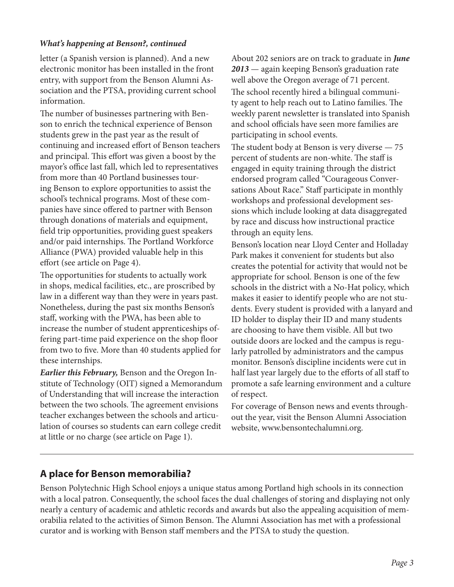#### *What's happening at Benson?, continued*

letter (a Spanish version is planned). And a new electronic monitor has been installed in the front entry, with support from the Benson Alumni Association and the PTSA, providing current school information.

The number of businesses partnering with Benson to enrich the technical experience of Benson students grew in the past year as the result of continuing and increased effort of Benson teachers and principal. This effort was given a boost by the mayor's office last fall, which led to representatives from more than 40 Portland businesses touring Benson to explore opportunities to assist the school's technical programs. Most of these companies have since offered to partner with Benson through donations of materials and equipment, field trip opportunities, providing guest speakers and/or paid internships. The Portland Workforce Alliance (PWA) provided valuable help in this effort (see article on Page 4).

The opportunities for students to actually work in shops, medical facilities, etc., are proscribed by law in a different way than they were in years past. Nonetheless, during the past six months Benson's staff, working with the PWA, has been able to increase the number of student apprenticeships offering part-time paid experience on the shop floor from two to five. More than 40 students applied for these internships.

*Earlier this February,* Benson and the Oregon Institute of Technology (OIT) signed a Memorandum of Understanding that will increase the interaction between the two schools. The agreement envisions teacher exchanges between the schools and articulation of courses so students can earn college credit at little or no charge (see article on Page 1).

About 202 seniors are on track to graduate in *June 2013* — again keeping Benson's graduation rate well above the Oregon average of 71 percent. The school recently hired a bilingual community agent to help reach out to Latino families. The weekly parent newsletter is translated into Spanish and school officials have seen more families are participating in school events.

The student body at Benson is very diverse — 75 percent of students are non-white. The staff is engaged in equity training through the district endorsed program called "Courageous Conversations About Race." Staff participate in monthly workshops and professional development sessions which include looking at data disaggregated by race and discuss how instructional practice through an equity lens.

Benson's location near Lloyd Center and Holladay Park makes it convenient for students but also creates the potential for activity that would not be appropriate for school. Benson is one of the few schools in the district with a No-Hat policy, which makes it easier to identify people who are not students. Every student is provided with a lanyard and ID holder to display their ID and many students are choosing to have them visible. All but two outside doors are locked and the campus is regularly patrolled by administrators and the campus monitor. Benson's discipline incidents were cut in half last year largely due to the efforts of all staff to promote a safe learning environment and a culture of respect.

For coverage of Benson news and events throughout the year, visit the Benson Alumni Association website, www.bensontechalumni.org.

# **A place for Benson memorabilia?**

Benson Polytechnic High School enjoys a unique status among Portland high schools in its connection with a local patron. Consequently, the school faces the dual challenges of storing and displaying not only nearly a century of academic and athletic records and awards but also the appealing acquisition of memorabilia related to the activities of Simon Benson. The Alumni Association has met with a professional curator and is working with Benson staff members and the PTSA to study the question.